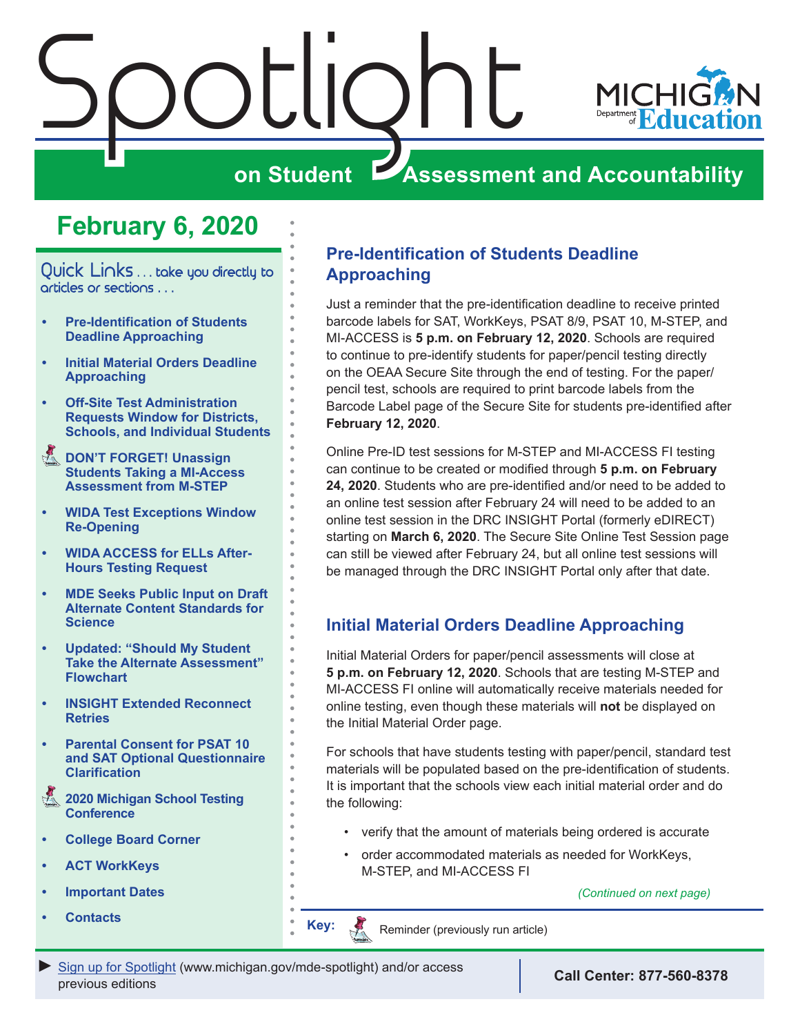<span id="page-0-0"></span>



# **February 6, 2020**

Quick Links ... take you directly to articles or sections . . .

- **• Pre-Identification of Students Deadline Approaching**
- **• Initial Material Orders Deadline Approaching**
- **• [Off-Site Test Administration](#page-1-0)  [Requests Window for Districts,](#page-1-0)  [Schools, and Individual Students](#page-1-0)**
- **Reminders DON'T FORGET! Unassign [Students Taking a MI-Access](#page-1-0)  [Assessment from M-STEP](#page-1-0)**
- **• [WIDA Test Exceptions Window](#page-2-0)  [Re-Opening](#page-2-0)**
- **• [WIDA ACCESS for ELLs After-](#page-2-0)[Hours Testing Request](#page-2-0)**
- **• [MDE Seeks Public Input on Draft](#page-2-0)  [Alternate Content Standards for](#page-2-0)  [Science](#page-2-0)**
- **• [Updated: "Should My Student](#page-2-0)  [Take the Alternate Assessment"](#page-2-0)  [Flowchart](#page-2-0)**
- **• [INSIGHT Extended Reconnect](#page-3-0)  [Retries](#page-3-0)**
- **• [Parental Consent for PSAT 10](#page-3-0)  [and SAT Optional Questionnaire](#page-3-0)  [Clarification](#page-3-0)**
- **2020 Michigan School Testing [Conference](#page-4-0)**
- **• [College Board Corner](#page-5-0)**
- **• [ACT WorkKeys](#page-7-0)**
- **• [Important Dates](#page-8-0)**
- **• [Contacts](#page-9-0) Key:**

### **Pre-Identification of Students Deadline Approaching**

Just a reminder that the pre-identification deadline to receive printed barcode labels for SAT, WorkKeys, PSAT 8/9, PSAT 10, M-STEP, and MI-ACCESS is **5 p.m. on February 12, 2020**. Schools are required to continue to pre-identify students for paper/pencil testing directly on the OEAA Secure Site through the end of testing. For the paper/ pencil test, schools are required to print barcode labels from the Barcode Label page of the Secure Site for students pre-identified after **February 12, 2020**.

Online Pre-ID test sessions for M-STEP and MI-ACCESS FI testing can continue to be created or modified through **5 p.m. on February 24, 2020**. Students who are pre-identified and/or need to be added to an online test session after February 24 will need to be added to an online test session in the DRC INSIGHT Portal (formerly eDIRECT) starting on **March 6, 2020**. The Secure Site Online Test Session page can still be viewed after February 24, but all online test sessions will be managed through the DRC INSIGHT Portal only after that date.

## **Initial Material Orders Deadline Approaching**

Initial Material Orders for paper/pencil assessments will close at **5 p.m. on February 12, 2020**. Schools that are testing M-STEP and MI-ACCESS FI online will automatically receive materials needed for online testing, even though these materials will **not** be displayed on the Initial Material Order page.

For schools that have students testing with paper/pencil, standard test materials will be populated based on the pre-identification of students. It is important that the schools view each initial material order and do the following:

- verify that the amount of materials being ordered is accurate
- order accommodated materials as needed for WorkKeys, M-STEP, and MI-ACCESS FI

*(Continued on next page)*



Reminder (previously run article)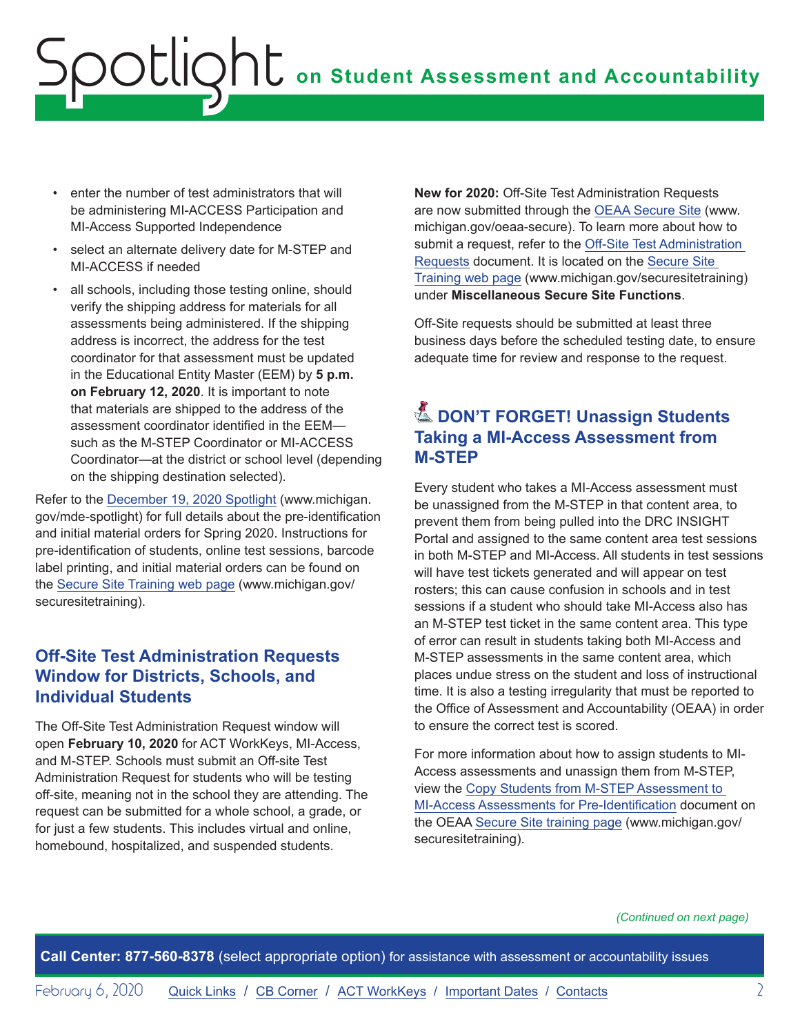# <span id="page-1-0"></span>**on Student Assessment and Accountability** Spotlight

- enter the number of test administrators that will be administering MI-ACCESS Participation and MI-Access Supported Independence
- select an alternate delivery date for M-STEP and MI-ACCESS if needed
- all schools, including those testing online, should verify the shipping address for materials for all assessments being administered. If the shipping address is incorrect, the address for the test coordinator for that assessment must be updated in the Educational Entity Master (EEM) by **5 p.m. on February 12, 2020**. It is important to note that materials are shipped to the address of the assessment coordinator identified in the EEM such as the M-STEP Coordinator or MI-ACCESS Coordinator—at the district or school level (depending on the shipping destination selected).

Refer to the [December 19, 2020 Spotlight](https://www.michigan.gov/documents/mde/Spotlight_12-19-19_674462_7.pdf) (www.michigan. gov/mde-spotlight) for full details about the pre-identification and initial material orders for Spring 2020. Instructions for pre-identification of students, online test sessions, barcode label printing, and initial material orders can be found on the [Secure Site Training web page](http://www.michigan.gov/securesitetraining) (www.michigan.gov/ securesitetraining).

### **Off-Site Test Administration Requests Window for Districts, Schools, and Individual Students**

The Off-Site Test Administration Request window will open **February 10, 2020** for ACT WorkKeys, MI-Access, and M-STEP. Schools must submit an Off-site Test Administration Request for students who will be testing off-site, meaning not in the school they are attending. The request can be submitted for a whole school, a grade, or for just a few students. This includes virtual and online, homebound, hospitalized, and suspended students.

**New for 2020:** Off-Site Test Administration Requests are now submitted through the [OEAA Secure Site](http://www.michigan.gov/oeaa-secure) (www. michigan.gov/oeaa-secure). To learn more about how to submit a request, refer to the [Off-Site Test Administration](https://www.michigan.gov/documents/mde/Off_Site_Test_Directions_679853_7.pdf)  [Requests](https://www.michigan.gov/documents/mde/Off_Site_Test_Directions_679853_7.pdf) document. It is located on the [Secure Site](http://www.michigan.gov/securesitetraining)  [Training web page](http://www.michigan.gov/securesitetraining) (www.michigan.gov/securesitetraining) under **Miscellaneous Secure Site Functions**.

Off-Site requests should be submitted at least three business days before the scheduled testing date, to ensure adequate time for review and response to the request.

# **E. DON'T FORGET! Unassign Students Taking a MI-Access Assessment from M-STEP**

Every student who takes a MI-Access assessment must be unassigned from the M-STEP in that content area, to prevent them from being pulled into the DRC INSIGHT Portal and assigned to the same content area test sessions in both M-STEP and MI-Access. All students in test sessions will have test tickets generated and will appear on test rosters; this can cause confusion in schools and in test sessions if a student who should take MI-Access also has an M-STEP test ticket in the same content area. This type of error can result in students taking both MI-Access and M-STEP assessments in the same content area, which places undue stress on the student and loss of instructional time. It is also a testing irregularity that must be reported to the Office of Assessment and Accountability (OEAA) in order to ensure the correct test is scored.

For more information about how to assign students to MI-Access assessments and unassign them from M-STEP, view the [Copy Students from M-STEP Assessment to](https://www.michigan.gov/documents/mde/MI_Access_Mass_Update_Assessments_quick_Reference_509800_7.pdf)  [MI-Access Assessments for Pre-Identification](https://www.michigan.gov/documents/mde/MI_Access_Mass_Update_Assessments_quick_Reference_509800_7.pdf) document on the OEAA [Secure Site training page](http://www.michigan.gov/securesitetraining) (www.michigan.gov/ securesitetraining).

*(Continued on next page)*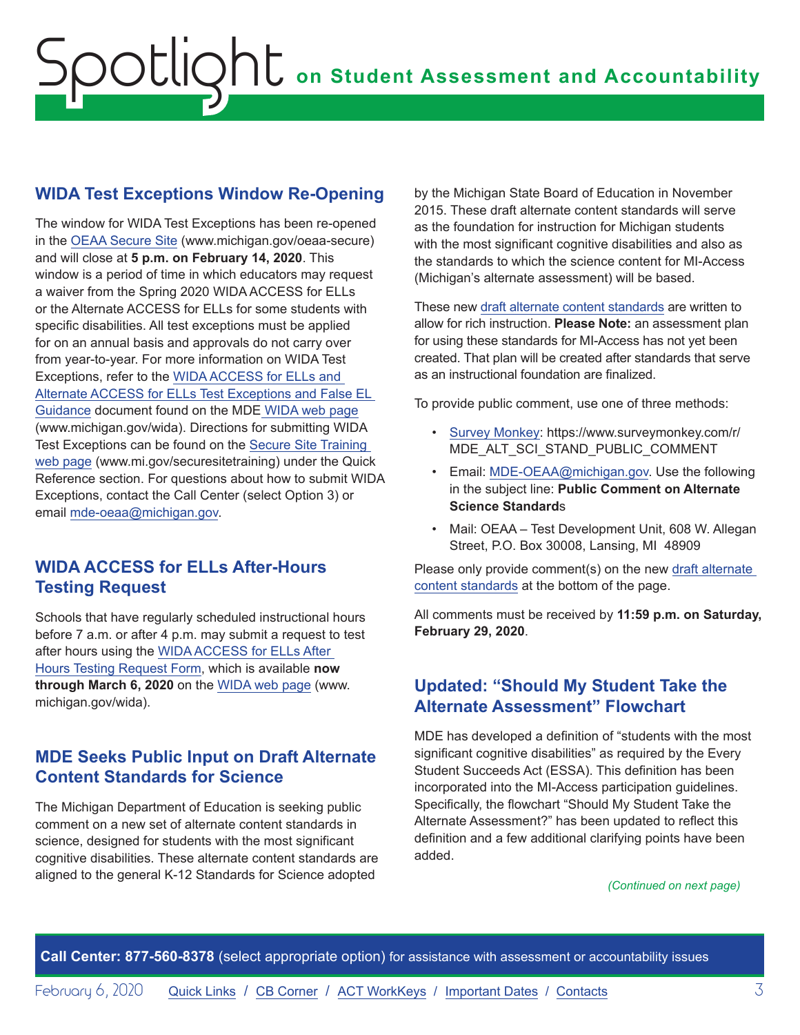## <span id="page-2-0"></span>**WIDA Test Exceptions Window Re-Opening**

The window for WIDA Test Exceptions has been re-opened in the [OEAA Secure Site](http://www.michigan.gov/oeaa-secure) (www.michigan.gov/oeaa-secure) and will close at **5 p.m. on February 14, 2020**. This window is a period of time in which educators may request a waiver from the Spring 2020 WIDA ACCESS for ELLs or the Alternate ACCESS for ELLs for some students with specific disabilities. All test exceptions must be applied for on an annual basis and approvals do not carry over from year-to-year. For more information on WIDA Test Exceptions, refer to the [WIDA ACCESS for ELLs and](https://www.michigan.gov/documents/mde/WIDA_False_LEP_Guidance_507305_7.pdf)  [Alternate ACCESS for ELLs Test Exceptions and False EL](https://www.michigan.gov/documents/mde/WIDA_False_LEP_Guidance_507305_7.pdf)  [Guidance](https://www.michigan.gov/documents/mde/WIDA_False_LEP_Guidance_507305_7.pdf) document found on the MDE [WIDA web page](www.michigan.gov/wida) (www.michigan.gov/wida). Directions for submitting WIDA Test Exceptions can be found on the [Secure Site Training](http://www.michigan.gov/securesitetraining)  [web page](http://www.michigan.gov/securesitetraining) (www.mi.gov/securesitetraining) under the Quick Reference section. For questions about how to submit WIDA Exceptions, contact the Call Center (select Option 3) or email [mde-oeaa@michigan.gov](mailto:mde-oeaa%40michigan.gov?subject=).

### **WIDA ACCESS for ELLs After-Hours Testing Request**

Schools that have regularly scheduled instructional hours before 7 a.m. or after 4 p.m. may submit a request to test after hours using the [WIDA ACCESS for ELLs After](https://baameap.wufoo.com/forms/zizkk670iqceea/)  [Hours Testing Request Form](https://baameap.wufoo.com/forms/zizkk670iqceea/), which is available **now through March 6, 2020** on the [WIDA web page](www.michigan.gov/wida) (www. michigan.gov/wida).

## **MDE Seeks Public Input on Draft Alternate Content Standards for Science**

The Michigan Department of Education is seeking public comment on a new set of alternate content standards in science, designed for students with the most significant cognitive disabilities. These alternate content standards are aligned to the general K-12 Standards for Science adopted

by the Michigan State Board of Education in November 2015. These draft alternate content standards will serve as the foundation for instruction for Michigan students with the most significant cognitive disabilities and also as the standards to which the science content for MI-Access (Michigan's alternate assessment) will be based.

These new [draft alternate content standards](https://www.michigan.gov/mde/0,4615,7-140-22709_28463-162769--,00.html) are written to allow for rich instruction. **Please Note:** an assessment plan for using these standards for MI-Access has not yet been created. That plan will be created after standards that serve as an instructional foundation are finalized.

To provide public comment, use one of three methods:

- [Survey Monkey](https://www.surveymonkey.com/r/MDE_ALT_SCI_STAND_PUBLIC_COMMENT): https://www.surveymonkey.com/r/ MDE\_ALT\_SCI\_STAND\_PUBLIC\_COMMENT
- Email: [MDE-OEAA@michigan.gov](mailto:MDE-OEAA%40michigan.gov?subject=Public%20Comment%20on%20Alternate%20Science%20Standards). Use the following in the subject line: **Public Comment on Alternate Science Standard**s
- Mail: OEAA Test Development Unit, 608 W. Allegan Street, P.O. Box 30008, Lansing, MI 48909

Please only provide comment(s) on the new [draft alternate](https://www.michigan.gov/mde/0,4615,7-140-22709_28463-162769--,00.html)  [content standards](https://www.michigan.gov/mde/0,4615,7-140-22709_28463-162769--,00.html) at the bottom of the page.

All comments must be received by **11:59 p.m. on Saturday, February 29, 2020**.

## **Updated: "Should My Student Take the Alternate Assessment" Flowchart**

MDE has developed a definition of "students with the most significant cognitive disabilities" as required by the Every Student Succeeds Act (ESSA). This definition has been incorporated into the MI-Access participation guidelines. Specifically, the flowchart "Should My Student Take the Alternate Assessment?" has been updated to reflect this definition and a few additional clarifying points have been added.

#### *(Continued on next page)*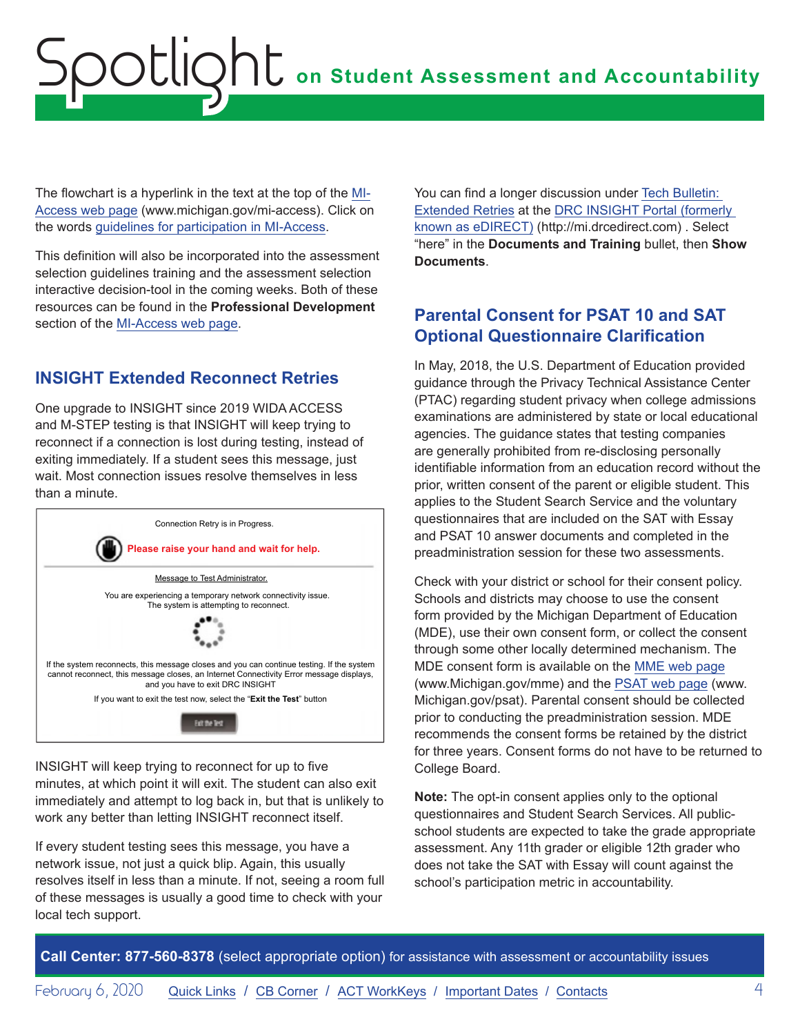# <span id="page-3-0"></span>**on Student Assessment and Accountability** Spotlight

The flowchart is a hyperlink in the text at the top of the [MI-](http://www.michigan.gov/mi-access)[Access web page](http://www.michigan.gov/mi-access) (www.michigan.gov/mi-access). Click on the words [guidelines for participation in MI-Access](https://www.michigan.gov/documents/mde/Should_My_Student_Take_the_Alternate_Assessment_556705_7.pdf).

This definition will also be incorporated into the assessment selection guidelines training and the assessment selection interactive decision-tool in the coming weeks. Both of these resources can be found in the **Professional Development** section of the [MI-Access web page](http://www.michigan.gov/mi-access).

#### **INSIGHT Extended Reconnect Retries**

One upgrade to INSIGHT since 2019 WIDA ACCESS and M-STEP testing is that INSIGHT will keep trying to reconnect if a connection is lost during testing, instead of exiting immediately. If a student sees this message, just wait. Most connection issues resolve themselves in less than a minute.



INSIGHT will keep trying to reconnect for up to five minutes, at which point it will exit. The student can also exit immediately and attempt to log back in, but that is unlikely to work any better than letting INSIGHT reconnect itself.

If every student testing sees this message, you have a network issue, not just a quick blip. Again, this usually resolves itself in less than a minute. If not, seeing a room full of these messages is usually a good time to check with your local tech support.

You can find a longer discussion under [Tech Bulletin:](https://mi.drcedirect.com/Documents/Unsecure/Doc.aspx?id=33f0dc58-64c0-49c5-8700-d2a0e62c253a)  [Extended Retries](https://mi.drcedirect.com/Documents/Unsecure/Doc.aspx?id=33f0dc58-64c0-49c5-8700-d2a0e62c253a) at the [DRC INSIGHT Portal \(formerly](https://mi.drcedirect.com)  [known as eDIRECT\)](https://mi.drcedirect.com) (http://mi.drcedirect.com) . Select "here" in the **Documents and Training** bullet, then **Show Documents**.

#### **Parental Consent for PSAT 10 and SAT Optional Questionnaire Clarification**

In May, 2018, the U.S. Department of Education provided guidance through the Privacy Technical Assistance Center (PTAC) regarding student privacy when college admissions examinations are administered by state or local educational agencies. The guidance states that testing companies are generally prohibited from re-disclosing personally identifiable information from an education record without the prior, written consent of the parent or eligible student. This applies to the Student Search Service and the voluntary questionnaires that are included on the SAT with Essay and PSAT 10 answer documents and completed in the preadministration session for these two assessments.

Check with your district or school for their consent policy. Schools and districts may choose to use the consent form provided by the Michigan Department of Education (MDE), use their own consent form, or collect the consent through some other locally determined mechanism. The MDE consent form is available on the [MME web page](www.michigan.gov/mme) (www.Michigan.gov/mme) and the [PSAT web page](http://www.michigan.gov/psat) (www. Michigan.gov/psat). Parental consent should be collected prior to conducting the preadministration session. MDE recommends the consent forms be retained by the district for three years. Consent forms do not have to be returned to College Board.

**Note:** The opt-in consent applies only to the optional questionnaires and Student Search Services. All publicschool students are expected to take the grade appropriate assessment. Any 11th grader or eligible 12th grader who does not take the SAT with Essay will count against the school's participation metric in accountability.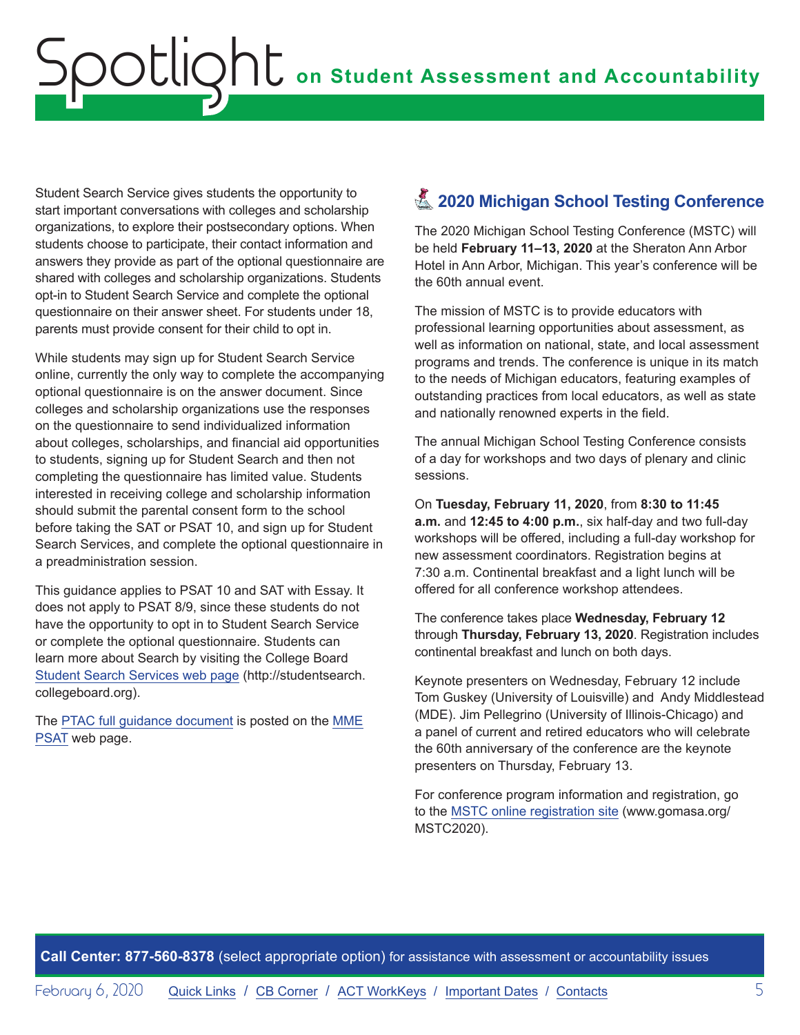<span id="page-4-0"></span>Student Search Service gives students the opportunity to start important conversations with colleges and scholarship organizations, to explore their postsecondary options. When students choose to participate, their contact information and answers they provide as part of the optional questionnaire are shared with colleges and scholarship organizations. Students opt-in to Student Search Service and complete the optional questionnaire on their answer sheet. For students under 18, parents must provide consent for their child to opt in.

While students may sign up for Student Search Service online, currently the only way to complete the accompanying optional questionnaire is on the answer document. Since colleges and scholarship organizations use the responses on the questionnaire to send individualized information about colleges, scholarships, and financial aid opportunities to students, signing up for Student Search and then not completing the questionnaire has limited value. Students interested in receiving college and scholarship information should submit the parental consent form to the school before taking the SAT or PSAT 10, and sign up for Student Search Services, and complete the optional questionnaire in a preadministration session.

This guidance applies to PSAT 10 and SAT with Essay. It does not apply to PSAT 8/9, since these students do not have the opportunity to opt in to Student Search Service or complete the optional questionnaire. Students can learn more about Search by visiting the College Board [Student Search Services web page](http://studentsearch.collegeboard.org) (http://studentsearch. collegeboard.org).

The [PTAC full guidance document](https://studentprivacy.ed.gov/sites/default/files/resource_document/file/TA%20College%20Admissions%20Examinations.pdf) is posted on the [MME](www.michigan.gov/mme) [PSAT](http://www.michigan.gov/psat) web page.

# **Z** 2020 Michigan School Testing Conference

The 2020 Michigan School Testing Conference (MSTC) will be held **February 11–13, 2020** at the Sheraton Ann Arbor Hotel in Ann Arbor, Michigan. This year's conference will be the 60th annual event.

The mission of MSTC is to provide educators with professional learning opportunities about assessment, as well as information on national, state, and local assessment programs and trends. The conference is unique in its match to the needs of Michigan educators, featuring examples of outstanding practices from local educators, as well as state and nationally renowned experts in the field.

The annual Michigan School Testing Conference consists of a day for workshops and two days of plenary and clinic sessions.

On **Tuesday, February 11, 2020**, from **8:30 to 11:45 a.m.** and **12:45 to 4:00 p.m.**, six half-day and two full-day workshops will be offered, including a full-day workshop for new assessment coordinators. Registration begins at 7:30 a.m. Continental breakfast and a light lunch will be offered for all conference workshop attendees.

The conference takes place **Wednesday, February 12** through **Thursday, February 13, 2020**. Registration includes continental breakfast and lunch on both days.

Keynote presenters on Wednesday, February 12 include Tom Guskey (University of Louisville) and Andy Middlestead (MDE). Jim Pellegrino (University of Illinois-Chicago) and a panel of current and retired educators who will celebrate the 60th anniversary of the conference are the keynote presenters on Thursday, February 13.

For conference program information and registration, go to the [MSTC online registration site](http://www.gomasa.org/MSTC2020) (www.gomasa.org/ MSTC2020).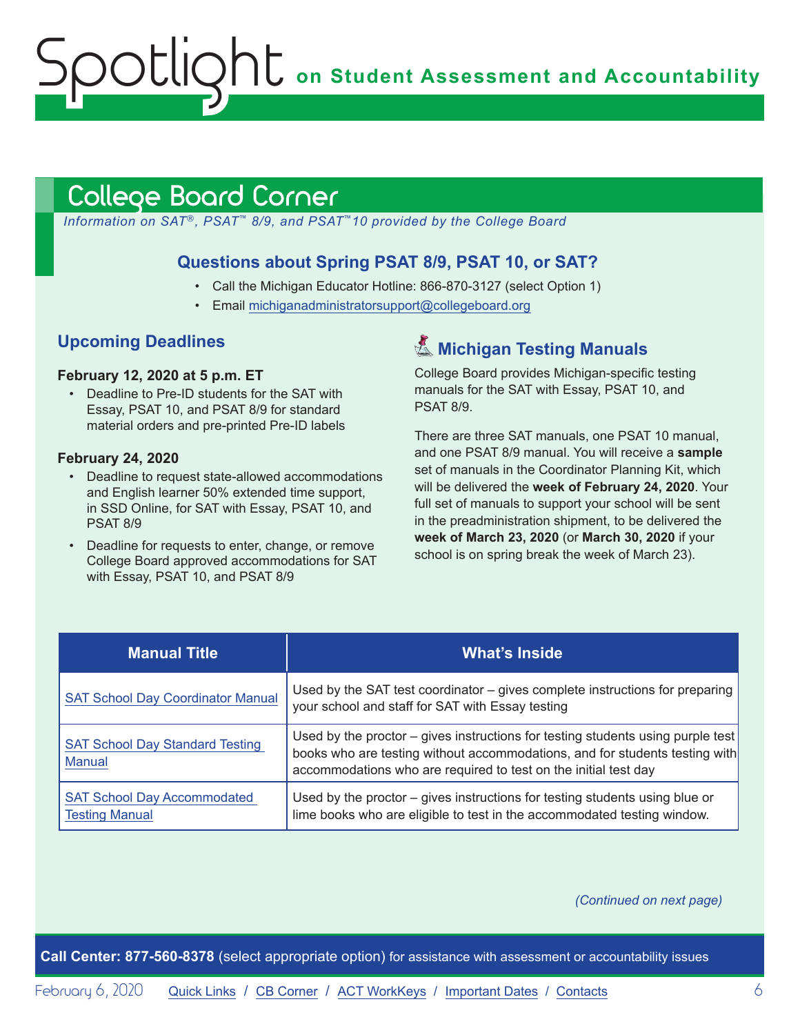**on Student Assessment and Accountability**

# <span id="page-5-1"></span>College Board Corner

*Information on SAT*®*, PSAT*™ *8/9, and PSAT*™*10 provided by the College Board*

#### **Questions about Spring PSAT 8/9, PSAT 10, or SAT?**

- Call the Michigan Educator Hotline: 866-870-3127 (select Option 1)
- Email [michiganadministratorsupport@collegeboard.org](mailto:michiganadministratorsupport%40collegeboard.org?subject=)

#### **Upcoming Deadlines**

#### **February 12, 2020 at 5 p.m. ET**

<span id="page-5-0"></span>Spotlight

• Deadline to Pre-ID students for the SAT with Essay, PSAT 10, and PSAT 8/9 for standard material orders and pre-printed Pre-ID labels

#### **February 24, 2020**

- Deadline to request state-allowed accommodations and English learner 50% extended time support, in SSD Online, for SAT with Essay, PSAT 10, and PSAT 8/9
- Deadline for requests to enter, change, or remove College Board approved accommodations for SAT with Essay, PSAT 10, and PSAT 8/9

# **K** Michigan Testing Manuals

College Board provides Michigan-specific testing manuals for the SAT with Essay, PSAT 10, and PSAT 8/9.

There are three SAT manuals, one PSAT 10 manual, and one PSAT 8/9 manual. You will receive a **sample** set of manuals in the Coordinator Planning Kit, which will be delivered the **week of February 24, 2020**. Your full set of manuals to support your school will be sent in the preadministration shipment, to be delivered the **week of March 23, 2020** (or **March 30, 2020** if your school is on spring break the week of March 23).

| <b>Manual Title</b>                                         | <b>What's Inside</b>                                                                                                                                                                                                              |
|-------------------------------------------------------------|-----------------------------------------------------------------------------------------------------------------------------------------------------------------------------------------------------------------------------------|
| <b>SAT School Day Coordinator Manual</b>                    | Used by the SAT test coordinator - gives complete instructions for preparing<br>your school and staff for SAT with Essay testing                                                                                                  |
| <b>SAT School Day Standard Testing</b><br><b>Manual</b>     | Used by the proctor – gives instructions for testing students using purple test<br>books who are testing without accommodations, and for students testing with<br>accommodations who are required to test on the initial test day |
| <b>SAT School Day Accommodated</b><br><b>Testing Manual</b> | Used by the proctor – gives instructions for testing students using blue or<br>lime books who are eligible to test in the accommodated testing window.                                                                            |

*(Continued on next page)*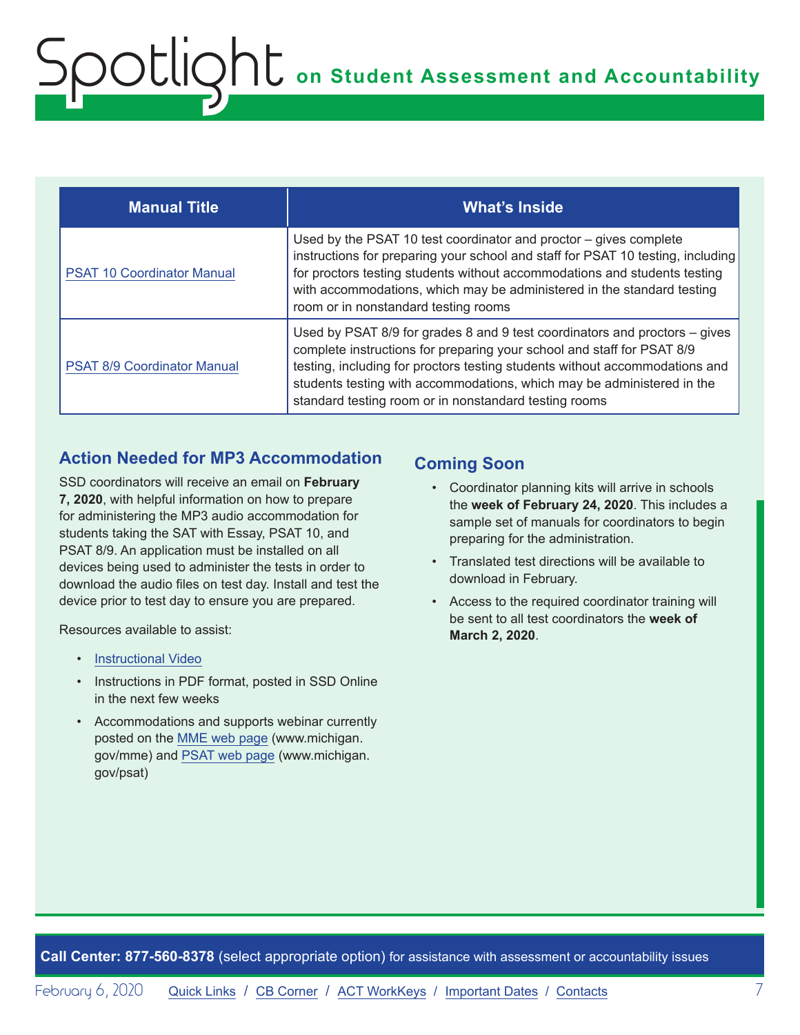| <b>Manual Title</b>                | <b>What's Inside</b>                                                                                                                                                                                                                                                                                                                                                   |
|------------------------------------|------------------------------------------------------------------------------------------------------------------------------------------------------------------------------------------------------------------------------------------------------------------------------------------------------------------------------------------------------------------------|
| <b>PSAT 10 Coordinator Manual</b>  | Used by the PSAT 10 test coordinator and proctor – gives complete<br>instructions for preparing your school and staff for PSAT 10 testing, including<br>for proctors testing students without accommodations and students testing<br>with accommodations, which may be administered in the standard testing<br>room or in nonstandard testing rooms                    |
| <b>PSAT 8/9 Coordinator Manual</b> | Used by PSAT 8/9 for grades 8 and 9 test coordinators and proctors – gives<br>complete instructions for preparing your school and staff for PSAT 8/9<br>testing, including for proctors testing students without accommodations and<br>students testing with accommodations, which may be administered in the<br>standard testing room or in nonstandard testing rooms |

#### **Action Needed for MP3 Accommodation**

SSD coordinators will receive an email on **February 7, 2020**, with helpful information on how to prepare for administering the MP3 audio accommodation for students taking the SAT with Essay, PSAT 10, and PSAT 8/9. An application must be installed on all devices being used to administer the tests in order to download the audio files on test day. Install and test the device prior to test day to ensure you are prepared.

Resources available to assist:

- [Instructional Video](https://www.youtube.com/watch?v=GbGEkqbT9ZA&feature=youtu.be)
- Instructions in PDF format, posted in SSD Online in the next few weeks
- Accommodations and supports webinar currently posted on the [MME web page](www.michigan.gov/mme) (www.michigan. gov/mme) and [PSAT web page](http://www.michigan.gov/psat) (www.michigan. gov/psat)

#### **Coming Soon**

- Coordinator planning kits will arrive in schools the **week of February 24, 2020**. This includes a sample set of manuals for coordinators to begin preparing for the administration.
- Translated test directions will be available to download in February.
- Access to the required coordinator training will be sent to all test coordinators the **week of March 2, 2020**.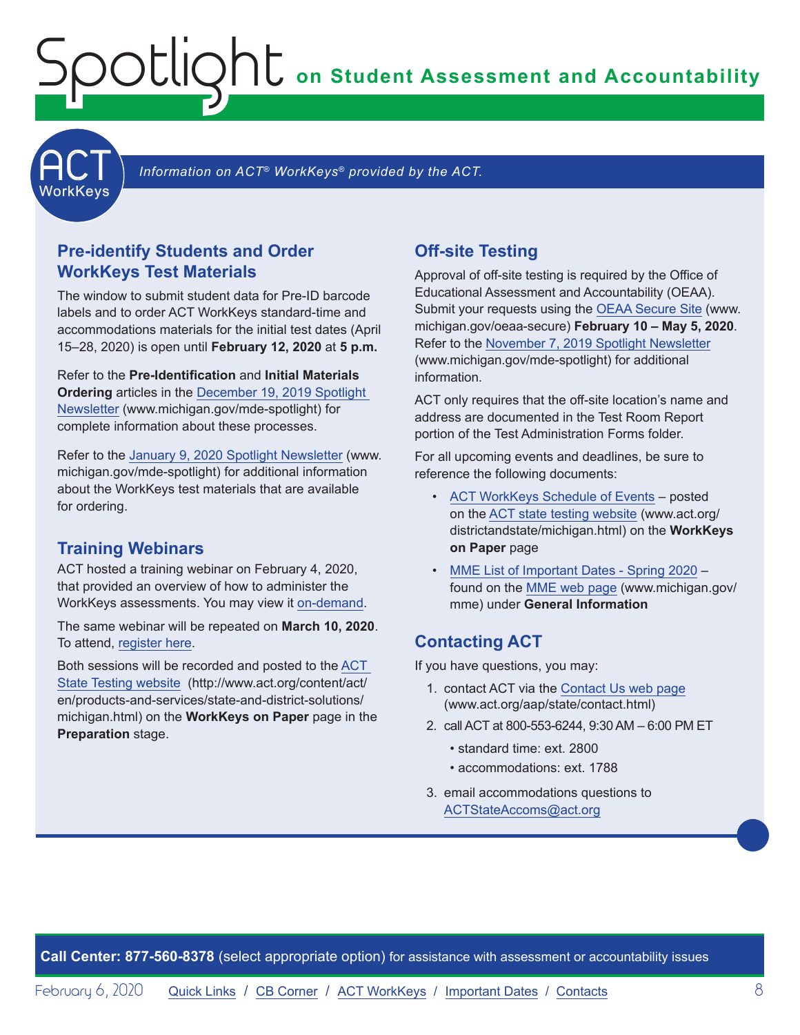**on Student Assessment and Accountability**

<span id="page-7-1"></span>

Information on ACT<sup>®</sup> WorkKeys<sup>®</sup> provided by the ACT.

#### **Pre-identify Students and Order WorkKeys Test Materials**

<span id="page-7-0"></span>Spotlight

The window to submit student data for Pre-ID barcode labels and to order ACT WorkKeys standard-time and accommodations materials for the initial test dates (April 15–28, 2020) is open until **February 12, 2020** at **5 p.m.**

Refer to the **Pre-Identification** and **Initial Materials Ordering** articles in the [December 19, 2019 Spotlight](https://www.michigan.gov/documents/mde/Spotlight_12-19-19_674462_7.pdf)  [Newsletter](https://www.michigan.gov/documents/mde/Spotlight_12-19-19_674462_7.pdf) (www.michigan.gov/mde-spotlight) for complete information about these processes.

Refer to the [January 9, 2020 Spotlight Newsletter](https://www.michigan.gov/documents/mde/Spotlight_1-9-20_676327_7.pdf) (www. michigan.gov/mde-spotlight) for additional information about the WorkKeys test materials that are available for ordering.

#### **Training Webinars**

ACT hosted a training webinar on February 4, 2020, that provided an overview of how to administer the WorkKeys assessments. You may view it [on-demand](https://event.on24.com/wcc/r/2124038/11177BB2C08057557E1BDD10CF935708).

The same webinar will be repeated on **March 10, 2020**. To attend, [register here.](https://event.on24.com/wcc/r/2124036/C50E209AAEDE2B03029BDE55DA459C17)

Both sessions will be recorded and posted to the [ACT](http://www.act.org/content/act/en/products-and-services/state-and-district-solutions/michigan.html)  [State Testing website](http://www.act.org/content/act/en/products-and-services/state-and-district-solutions/michigan.html) (http://www.act.org/content/act/ en/products-and-services/state-and-district-solutions/ michigan.html) on the **WorkKeys on Paper** page in the **Preparation** stage.

#### **Off-site Testing**

Approval of off-site testing is required by the Office of Educational Assessment and Accountability (OEAA). Submit your requests using the [OEAA Secure Site](http://www.michigan.gov/oeaa-secure) (www. michigan.gov/oeaa-secure) **February 10 – May 5, 2020**. Refer to the [November 7, 2019 Spotlight Newsletter](https://www.michigan.gov/documents/mde/Spotlight_11-7-19_670956_7.pdf) (www.michigan.gov/mde-spotlight) for additional information.

ACT only requires that the off-site location's name and address are documented in the Test Room Report portion of the Test Administration Forms folder.

For all upcoming events and deadlines, be sure to reference the following documents:

- [ACT WorkKeys Schedule of Events](http://www.act.org/content/dam/act/unsecured/documents/ScheduleofEventsWorkKeys-MI.pdf) posted on the [ACT state testing website](http://www.act.org/content/act/en/products-and-services/state-and-district-solutions/michigan.html) (www.act.org/ districtandstate/michigan.html) on the **WorkKeys on Paper** page
- [MME List of Important Dates Spring 2020](https://www.michigan.gov/documents/mde/MME_List_of_Important_Dates_668755_7.pdf) found on the [MME web page](www.michigan.gov/mme) (www.michigan.gov/ mme) under **General Information**

#### **Contacting ACT**

If you have questions, you may:

- 1. contact ACT via the [Contact Us web page](http://www.act.org/aap/state/contact.html) [\(www.act.org/aap/state/contact.html](https://www.act.org/aap/state/contact.html))
- 2. call ACT at 800-553-6244, 9:30 AM 6:00 PM ET
	- standard time: ext. 2800
	- accommodations: ext. 1788
- 3. email accommodations questions to [ACTStateAccoms@act.org](mailto:ACTStateAccoms%40act.org?subject=)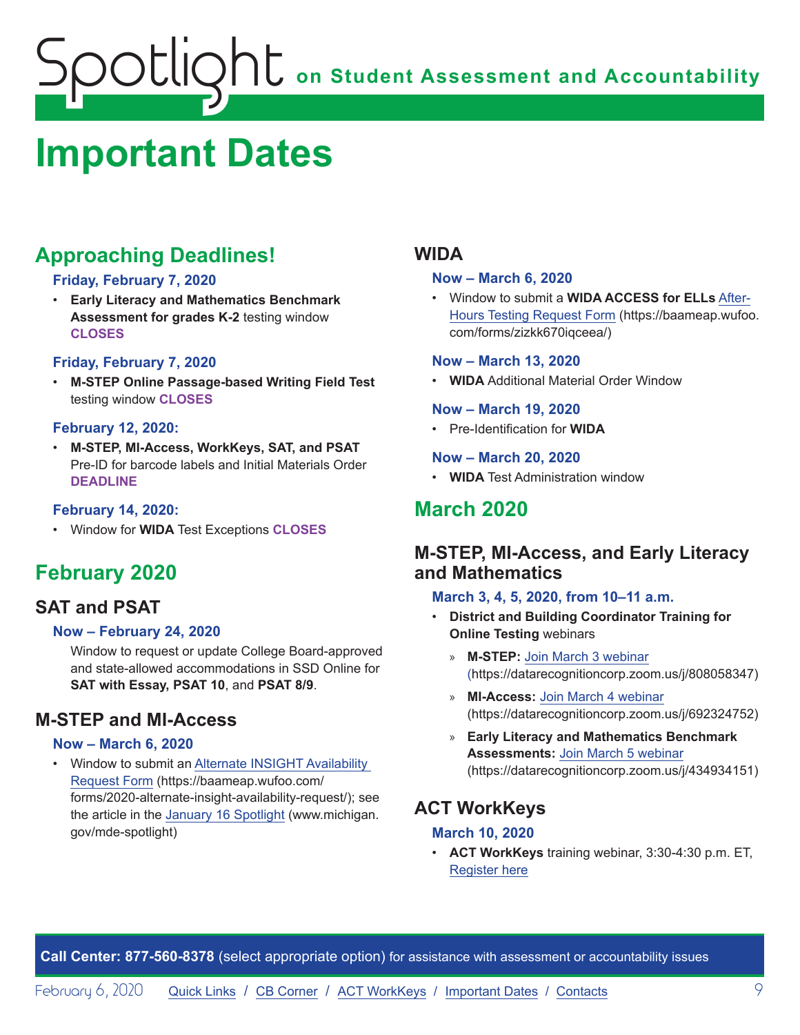# <span id="page-8-1"></span><span id="page-8-0"></span>**Important Dates**

# **Approaching Deadlines!**

#### **Friday, February 7, 2020**

• **Early Literacy and Mathematics Benchmark Assessment for grades K-2** testing window **CLOSES**

#### **Friday, February 7, 2020**

• **M-STEP Online Passage-based Writing Field Test** testing window **CLOSES**

#### **February 12, 2020:**

• **M-STEP, MI-Access, WorkKeys, SAT, and PSAT**  Pre-ID for barcode labels and Initial Materials Order **DEADLINE**

#### **February 14, 2020:**

• Window for **WIDA** Test Exceptions **CLOSES**

# **February 2020**

# **SAT and PSAT**

#### **Now – February 24, 2020**

Window to request or update College Board-approved and state-allowed accommodations in SSD Online for **SAT with Essay, PSAT 10**, and **PSAT 8/9**.

# **M-STEP and MI-Access**

#### **Now – March 6, 2020**

• Window to submit an [Alternate INSIGHT Availability](https://baameap.wufoo.com/forms/2020-alternate-insight-availability-request/)  [Request Form](https://baameap.wufoo.com/forms/2020-alternate-insight-availability-request/) (https://baameap.wufoo.com/ forms/2020-alternate-insight-availability-request/); see the article in the [January 16 Spotlight](https://www.michigan.gov/documents/mde/Spotlight_1-16-20_678716_7.pdf) (www.michigan. gov/mde-spotlight)

### **WIDA**

#### **Now – March 6, 2020**

• Window to submit a **[WIDA ACCESS for ELLs](https://baameap.wufoo.com/forms/zizkk670iqceea/ )** After-[Hours Testing Request Form](https://baameap.wufoo.com/forms/zizkk670iqceea/ ) (https://baameap.wufoo. com/forms/zizkk670iqceea/)

#### **Now – March 13, 2020**

• **WIDA** Additional Material Order Window

#### **Now – March 19, 2020**

• Pre-Identification for **WIDA**

#### **Now – March 20, 2020**

• **WIDA** Test Administration window

# **March 2020**

### **M-STEP, MI-Access, and Early Literacy and Mathematics**

#### **March 3, 4, 5, 2020, from 10–11 a.m.**

- **District and Building Coordinator Training for Online Testing** webinars
	- » **M-STEP:** [Join March 3 webinar](https://datarecognitioncorp.zoom.us/j/808058347) (https://datarecognitioncorp.zoom.us/j/808058347)
	- » **MI-Access:** [Join March 4 webinar](https://datarecognitioncorp.zoom.us/j/692324752) (https://datarecognitioncorp.zoom.us/j/692324752)
	- » **Early Literacy and Mathematics Benchmark Assessments:** [Join March 5 webinar](https://datarecognitioncorp.zoom.us/j/434934151) (https://datarecognitioncorp.zoom.us/j/434934151)

# **ACT WorkKeys**

#### **March 10, 2020**

• **ACT WorkKeys** training webinar, 3:30-4:30 p.m. ET, [Register here](https://event.on24.com/wcc/r/2124036/C50E209AAEDE2B03029BDE55DA459C17)